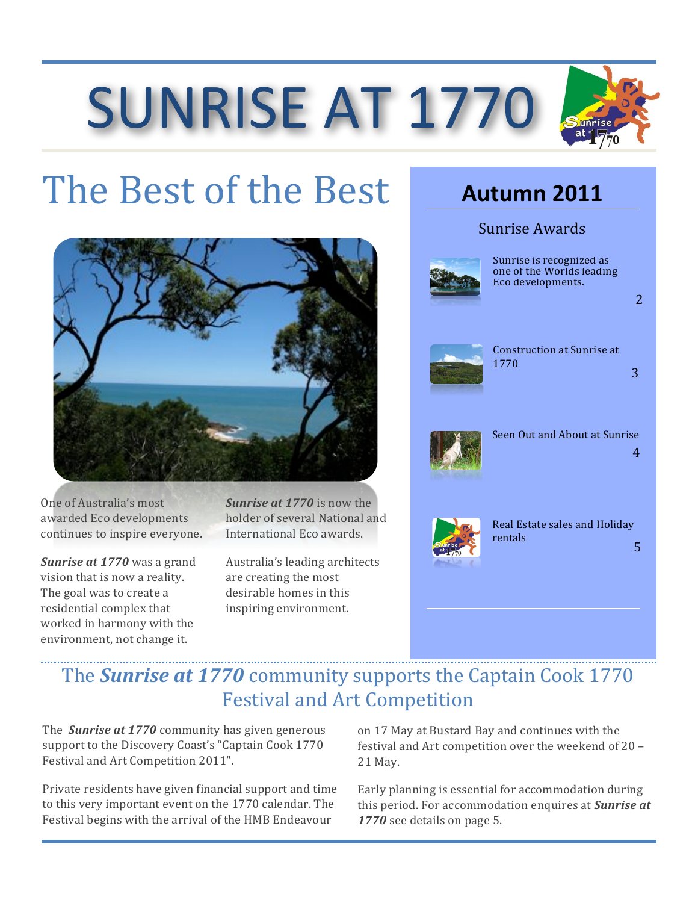# **SUNRISE AT 1770**

## The Best of the Best



One of Australia's most awarded Eco developments continues to inspire everyone.

**Sunrise at 1770** was a grand vision that is now a reality. The goal was to create a residential complex that worked in harmony with the environment, not change it.

Sunrise at 1770 is now the holder of several National and International Eco awards.

Australia's leading architects are creating the most desirable homes in this inspiring environment.

### **Autumn 2011**

#### Sunrise Awards



Sunrise is recognized as one of the Worlds leading Eco developments.

 $\overline{2}$ 

3



**Construction at Sunrise at** 1770



Seen Out and About at Sunrise  $\overline{4}$ 



Real Estate sales and Holiday rentals 5

### The **Sunrise at 1770** community supports the Captain Cook 1770 **Festival and Art Competition**

The **Sunrise at 1770** community has given generous support to the Discovery Coast's "Captain Cook 1770 Festival and Art Competition 2011".

Private residents have given financial support and time to this very important event on the 1770 calendar. The Festival begins with the arrival of the HMB Endeavour

on 17 May at Bustard Bay and continues with the festival and Art competition over the weekend of 20 -21 May.

Early planning is essential for accommodation during this period. For accommodation enquires at **Sunrise at** 1770 see details on page 5.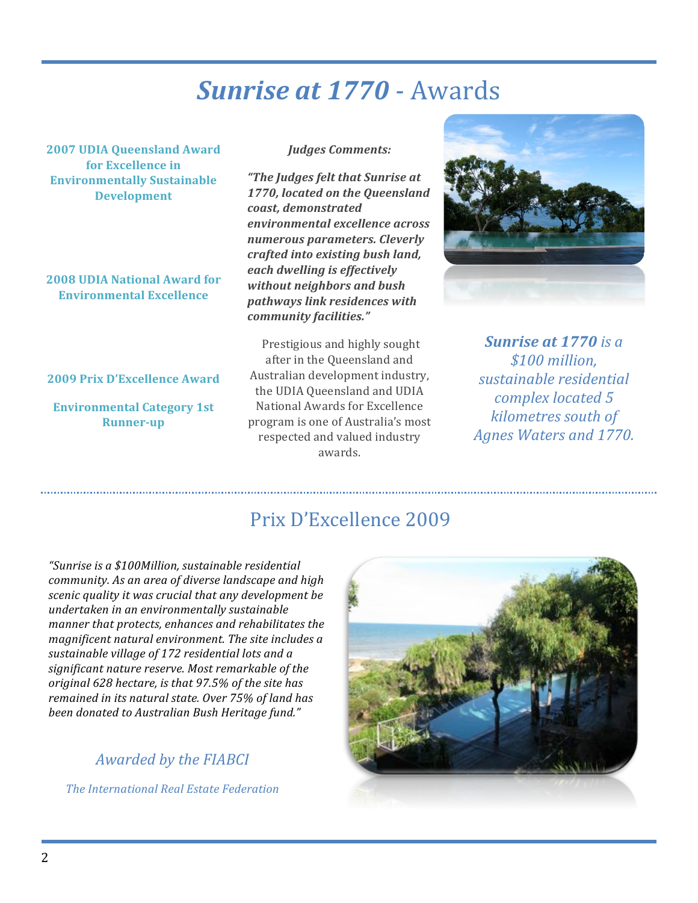### **Sunrise at 1770 - Awards**

**2007 UDIA Queensland Award** for Excellence in **Environmentally Sustainable Development** 

2008 UDIA National Award for **Environmental Excellence** 

#### 2009 Prix D'Excellence Award

**Environmental Category 1st Runner-up** 

#### **Judges Comments:**

"The Judges felt that Sunrise at 1770, located on the Queensland coast. demonstrated environmental excellence across numerous parameters. Cleverly crafted into existing bush land, each dwelling is effectively without neighbors and bush pathways link residences with community facilities."

Prestigious and highly sought after in the Queensland and Australian development industry, the UDIA Queensland and UDIA National Awards for Excellence program is one of Australia's most respected and valued industry awards.



**Sunrise at 1770** is a \$100 million. sustainable residential complex located 5 kilometres south of **Agnes Waters and 1770.** 

### Prix D'Excellence 2009

"Sunrise is a \$100Million, sustainable residential community. As an area of diverse landscape and high scenic quality it was crucial that any development be undertaken in an environmentally sustainable manner that protects, enhances and rehabilitates the magnificent natural environment. The site includes a sustainable village of 172 residential lots and a significant nature reserve. Most remarkable of the original 628 hectare, is that 97.5% of the site has remained in its natural state. Over 75% of land has been donated to Australian Bush Heritage fund."

#### Awarded by the FIABCI

The International Real Estate Federation

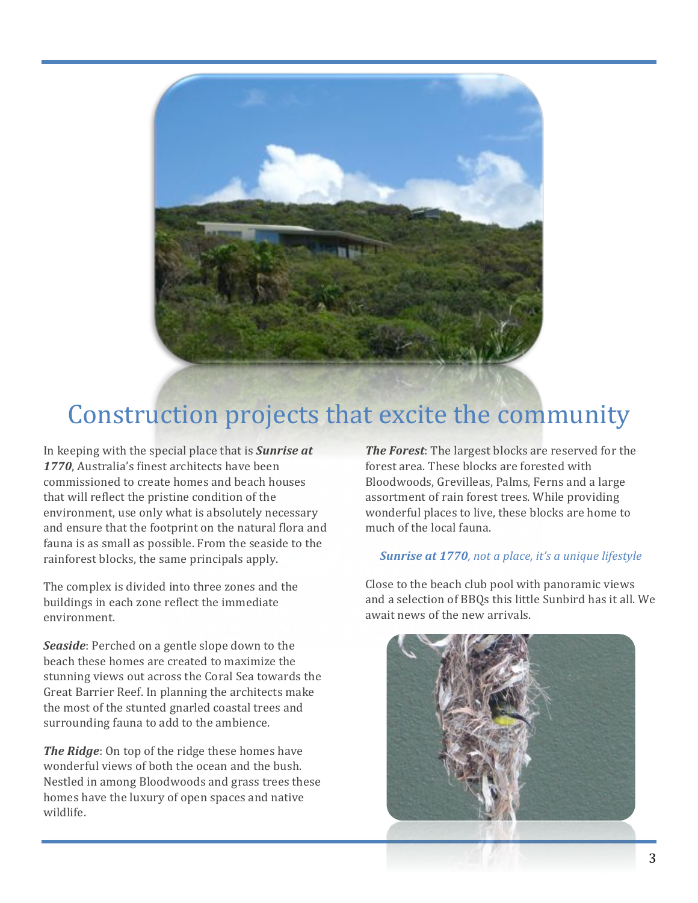

### Construction projects that excite the community

In keeping with the special place that is **Sunrise at** 1770. Australia's finest architects have been commissioned to create homes and beach houses that will reflect the pristine condition of the environment, use only what is absolutely necessary and ensure that the footprint on the natural flora and fauna is as small as possible. From the seaside to the rainforest blocks, the same principals apply.

The complex is divided into three zones and the buildings in each zone reflect the immediate environment.

Seaside: Perched on a gentle slope down to the beach these homes are created to maximize the stunning views out across the Coral Sea towards the Great Barrier Reef. In planning the architects make the most of the stunted gnarled coastal trees and surrounding fauna to add to the ambience.

The Ridge: On top of the ridge these homes have wonderful views of both the ocean and the bush. Nestled in among Bloodwoods and grass trees these homes have the luxury of open spaces and native wildlife.

The Forest: The largest blocks are reserved for the forest area. These blocks are forested with Bloodwoods, Grevilleas, Palms, Ferns and a large assortment of rain forest trees. While providing wonderful places to live, these blocks are home to much of the local fauna.

#### Sunrise at 1770, not a place, it's a unique lifestyle

Close to the beach club pool with panoramic views and a selection of BBQs this little Sunbird has it all. We await news of the new arrivals.

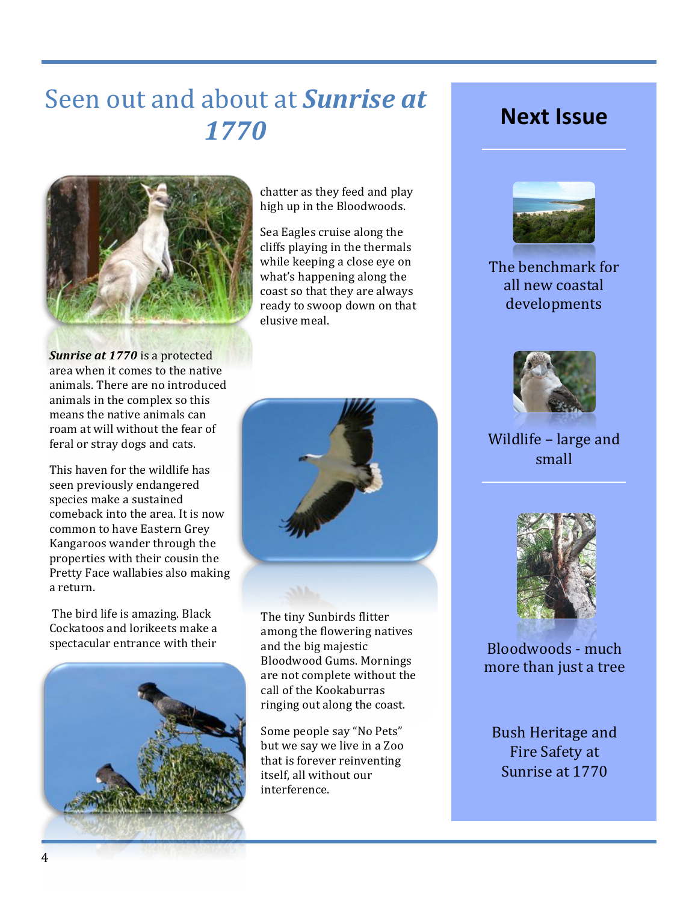### Seen out and about at **Sunrise at** 1770



chatter as they feed and play high up in the Bloodwoods.

Sea Eagles cruise along the cliffs playing in the thermals while keeping a close eye on what's happening along the coast so that they are always ready to swoop down on that elusive meal.

Sunrise at 1770 is a protected area when it comes to the native animals. There are no introduced animals in the complex so this means the native animals can roam at will without the fear of feral or stray dogs and cats.

This haven for the wildlife has seen previously endangered species make a sustained comeback into the area. It is now common to have Eastern Grey Kangaroos wander through the properties with their cousin the Pretty Face wallabies also making a return.

The bird life is amazing. Black Cockatoos and lorikeets make a spectacular entrance with their





The tiny Sunbirds flitter among the flowering natives and the big majestic **Bloodwood Gums. Mornings** are not complete without the call of the Kookaburras ringing out along the coast.

Some people say "No Pets" but we say we live in a Zoo that is forever reinventing itself, all without our interference.

### **Next Issue**



The benchmark for all new coastal developments



### Wildlife - large and small



Bloodwoods - much more than just a tree

**Bush Heritage and** Fire Safety at Sunrise at 1770